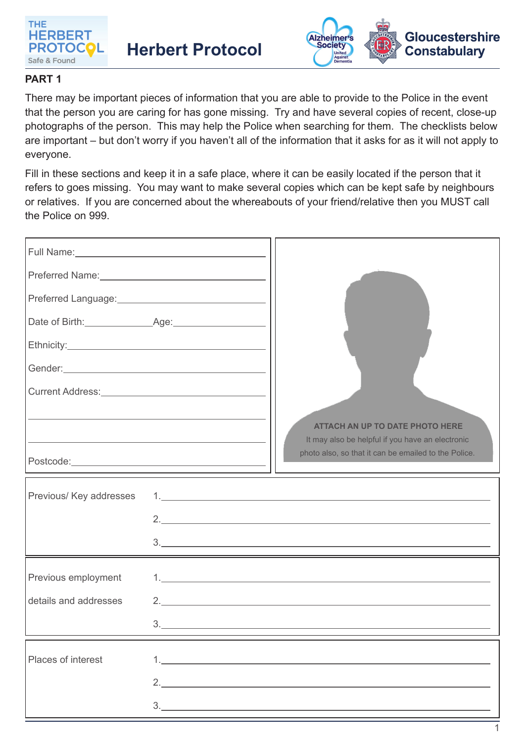

**Herbert Protocol** 



1

## **PART 1**

There may be important pieces of information that you are able to provide to the Police in the event that the person you are caring for has gone missing. Try and have several copies of recent, close-up photographs of the person. This may help the Police when searching for them. The checklists below are important – but don't worry if you haven't all of the information that it asks for as it will not apply to everyone.

Fill in these sections and keep it in a safe place, where it can be easily located if the person that it refers to goes missing. You may want to make several copies which can be kept safe by neighbours or relatives. If you are concerned about the whereabouts of your friend/relative then you MUST call the Police on 999.

| Preferred Language:<br><u>International Contract of August 2014</u> |                                                                                                                                                                                                                               |                                                      |
|---------------------------------------------------------------------|-------------------------------------------------------------------------------------------------------------------------------------------------------------------------------------------------------------------------------|------------------------------------------------------|
|                                                                     |                                                                                                                                                                                                                               |                                                      |
|                                                                     |                                                                                                                                                                                                                               |                                                      |
|                                                                     |                                                                                                                                                                                                                               |                                                      |
|                                                                     |                                                                                                                                                                                                                               |                                                      |
|                                                                     |                                                                                                                                                                                                                               | <b>ATTACH AN UP TO DATE PHOTO HERE</b>               |
|                                                                     | the control of the control of the control of the control of the control of the control of the control of the control of the control of the control of the control of the control of the control of the control of the control | It may also be helpful if you have an electronic     |
|                                                                     |                                                                                                                                                                                                                               | photo also, so that it can be emailed to the Police. |
| Previous/ Key addresses                                             |                                                                                                                                                                                                                               |                                                      |
|                                                                     |                                                                                                                                                                                                                               | 2.                                                   |
|                                                                     |                                                                                                                                                                                                                               |                                                      |
| Previous employment                                                 |                                                                                                                                                                                                                               | 1.                                                   |
| details and addresses                                               |                                                                                                                                                                                                                               | 2. $\qquad \qquad$                                   |
|                                                                     |                                                                                                                                                                                                                               |                                                      |
| Places of interest                                                  |                                                                                                                                                                                                                               |                                                      |
|                                                                     |                                                                                                                                                                                                                               | 2. $\qquad \qquad$                                   |
|                                                                     |                                                                                                                                                                                                                               | $\begin{tabular}{c} 3. \end{tabular}$                |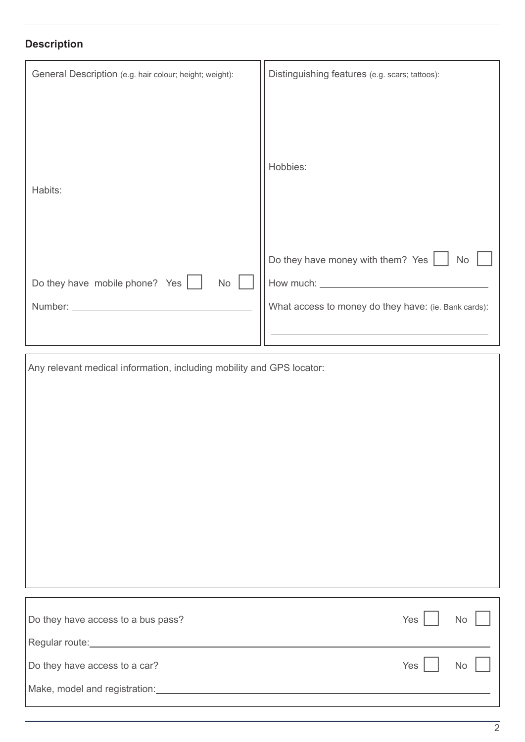## **Description**

| General Description (e.g. hair colour; height; weight): | Distinguishing features (e.g. scars; tattoos):                                                                                        |  |
|---------------------------------------------------------|---------------------------------------------------------------------------------------------------------------------------------------|--|
| Habits:                                                 | Hobbies:                                                                                                                              |  |
| Do they have mobile phone? Yes  <br><b>No</b>           | Do they have money with them? Yes $\vert$<br><b>No</b><br>How much: _________<br>What access to money do they have: (ie. Bank cards): |  |

| Any relevant medical information, including mobility and GPS locator: |     |           |  |
|-----------------------------------------------------------------------|-----|-----------|--|
|                                                                       |     |           |  |
|                                                                       |     |           |  |
|                                                                       |     |           |  |
|                                                                       |     |           |  |
|                                                                       |     |           |  |
|                                                                       |     |           |  |
|                                                                       |     |           |  |
|                                                                       |     |           |  |
|                                                                       |     |           |  |
|                                                                       |     |           |  |
| Do they have access to a bus pass?                                    | Yes | No        |  |
|                                                                       |     |           |  |
| Do they have access to a car?                                         | Yes | <b>No</b> |  |
|                                                                       |     |           |  |
|                                                                       |     |           |  |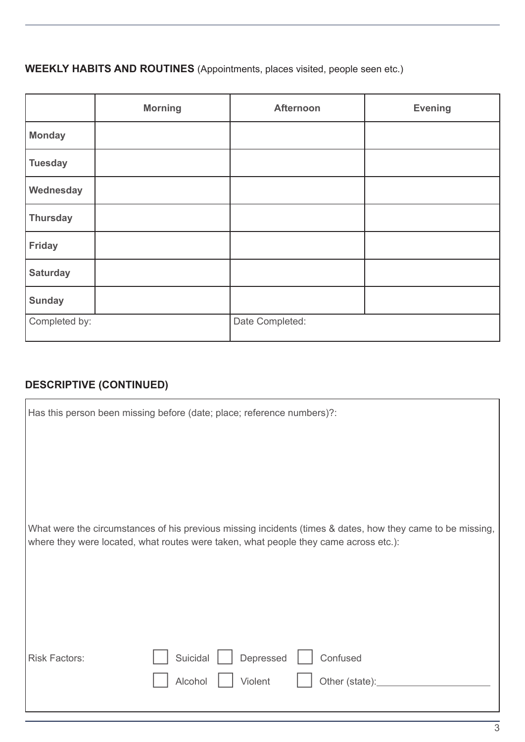## **WEEKLY HABITS AND ROUTINES** (Appointments, places visited, people seen etc.)

|                 | <b>Morning</b> | <b>Afternoon</b> | <b>Evening</b> |
|-----------------|----------------|------------------|----------------|
| <b>Monday</b>   |                |                  |                |
| <b>Tuesday</b>  |                |                  |                |
| Wednesday       |                |                  |                |
| <b>Thursday</b> |                |                  |                |
| <b>Friday</b>   |                |                  |                |
| <b>Saturday</b> |                |                  |                |
| <b>Sunday</b>   |                |                  |                |
| Completed by:   |                | Date Completed:  |                |

## **DESCRIPTIVE (CONTINUED)**

|                      | Has this person been missing before (date; place; reference numbers)?:                                                                                                                             |
|----------------------|----------------------------------------------------------------------------------------------------------------------------------------------------------------------------------------------------|
|                      |                                                                                                                                                                                                    |
|                      |                                                                                                                                                                                                    |
|                      |                                                                                                                                                                                                    |
|                      | What were the circumstances of his previous missing incidents (times & dates, how they came to be missing,<br>where they were located, what routes were taken, what people they came across etc.): |
|                      |                                                                                                                                                                                                    |
|                      |                                                                                                                                                                                                    |
|                      |                                                                                                                                                                                                    |
| <b>Risk Factors:</b> | Depressed<br>Suicidal<br>Confused                                                                                                                                                                  |
|                      | Alcohol<br>Violent<br>Other (state):                                                                                                                                                               |
|                      |                                                                                                                                                                                                    |